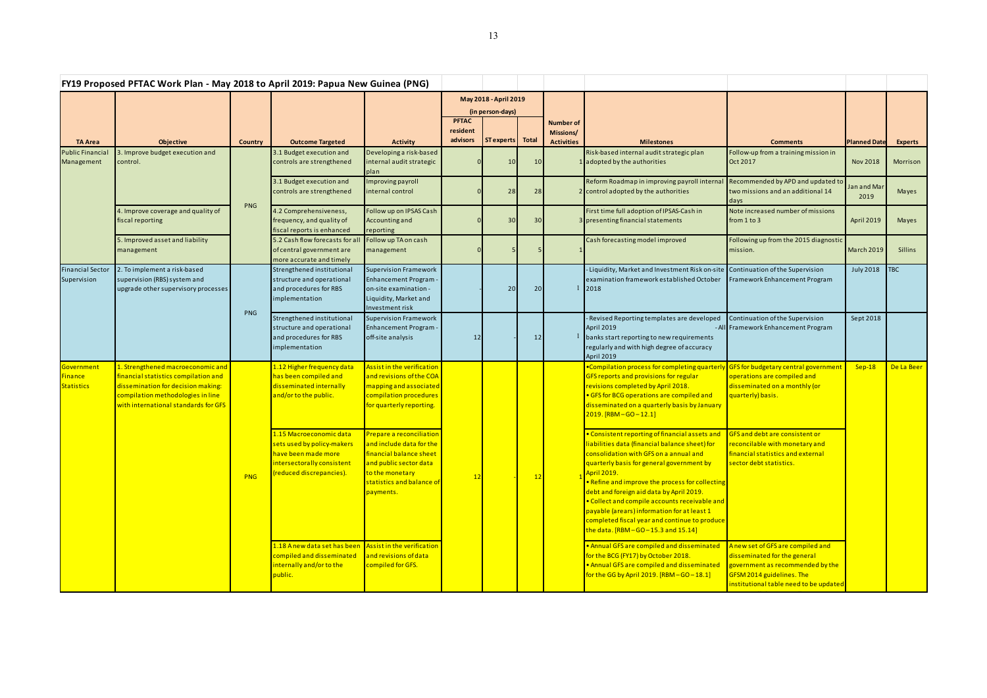| FY19 Proposed PFTAC Work Plan - May 2018 to April 2019: Papua New Guinea (PNG) |                                                                                                                                                                                              |                |                                                                                                                                        |                                                                                                                                                                        |                                      |                                                                |       |                                                    |                                                                                                                                                                                                                                                                                                                                                                                                                                                                                                            |                                                                                                                                                                              |                     |                |
|--------------------------------------------------------------------------------|----------------------------------------------------------------------------------------------------------------------------------------------------------------------------------------------|----------------|----------------------------------------------------------------------------------------------------------------------------------------|------------------------------------------------------------------------------------------------------------------------------------------------------------------------|--------------------------------------|----------------------------------------------------------------|-------|----------------------------------------------------|------------------------------------------------------------------------------------------------------------------------------------------------------------------------------------------------------------------------------------------------------------------------------------------------------------------------------------------------------------------------------------------------------------------------------------------------------------------------------------------------------------|------------------------------------------------------------------------------------------------------------------------------------------------------------------------------|---------------------|----------------|
| <b>TA Area</b>                                                                 | <b>Objective</b>                                                                                                                                                                             | <b>Country</b> | <b>Outcome Targeted</b>                                                                                                                | <b>Activity</b>                                                                                                                                                        | <b>PFTAC</b><br>resident<br>advisors | May 2018 - April 2019<br>(in person-days)<br><b>ST</b> experts | Total | <b>Number of</b><br>Missions/<br><b>Activities</b> | <b>Milestones</b>                                                                                                                                                                                                                                                                                                                                                                                                                                                                                          | <b>Comments</b>                                                                                                                                                              | <b>Planned Date</b> | <b>Experts</b> |
| <b>Public Financia</b><br>Management                                           | 3. Improve budget execution and<br>control.                                                                                                                                                  |                | 3.1 Budget execution and<br>controls are strengthened                                                                                  | Developing a risk-based<br>internal audit strategic<br>plan                                                                                                            |                                      | 10                                                             | 10    |                                                    | Risk-based internal audit strategic plan<br>adopted by the authorities                                                                                                                                                                                                                                                                                                                                                                                                                                     | Follow-up from a training mission in<br>Oct 2017                                                                                                                             | <b>Nov 2018</b>     | Morrison       |
|                                                                                |                                                                                                                                                                                              |                | 3.1 Budget execution and<br>controls are strengthened                                                                                  | Improving payroll<br>internal control                                                                                                                                  |                                      | 28                                                             | 28    |                                                    | Reform Roadmap in improving payroll interna<br>control adopted by the authorities                                                                                                                                                                                                                                                                                                                                                                                                                          | Recommended by APD and updated to<br>two missions and an additional 14<br>days                                                                                               | Jan and Mar<br>2019 | Mayes          |
|                                                                                | 4. Improve coverage and quality of<br>fiscal reporting<br>5. Improved asset and liability<br>management                                                                                      | PNG            | 4.2 Comprehensiveness,<br>frequency, and quality of<br>fiscal reports is enhanced                                                      | Follow up on IPSAS Cash<br>Accounting and<br>reporting                                                                                                                 |                                      | 30                                                             | 30    |                                                    | First time full adoption of IPSAS-Cash in<br>presenting financial statements                                                                                                                                                                                                                                                                                                                                                                                                                               | Note increased number of missions<br>from $1$ to $3$                                                                                                                         | April 2019          | Mayes          |
|                                                                                |                                                                                                                                                                                              |                | 5.2 Cash flow forecasts for al<br>of central government are<br>more accurate and timely                                                | Follow up TA on cash<br>management                                                                                                                                     |                                      |                                                                |       |                                                    | Cash forecasting model improved                                                                                                                                                                                                                                                                                                                                                                                                                                                                            | Following up from the 2015 diagnostic<br>mission.                                                                                                                            | <b>March 2019</b>   | <b>Sillins</b> |
| <b>Financial Sector</b><br>Supervision                                         | 2. To implement a risk-based<br>supervision (RBS) system and<br>upgrade other supervisory processes                                                                                          | <b>PNG</b>     | Strengthened institutional<br>structure and operational<br>and procedures for RBS<br>implementation                                    | <b>Supervision Framework</b><br><b>Enhancement Program</b><br>on-site examination -<br>Liquidity, Market and<br>Investment risk                                        |                                      | 20                                                             | 20    |                                                    | -Liquidity, Market and Investment Risk on-site Continuation of the Supervision<br>examination framework established October<br>2018                                                                                                                                                                                                                                                                                                                                                                        | Framework Enhancement Program                                                                                                                                                | <b>July 2018</b>    | TBC            |
|                                                                                |                                                                                                                                                                                              |                | Strengthened institutional<br>structure and operational<br>and procedures for RBS<br>implementation                                    | <b>Supervision Framework</b><br><b>Enhancement Program -</b><br>off-site analysis                                                                                      | 12                                   |                                                                | 12    |                                                    | - Revised Reporting templates are developed<br><b>April 2019</b><br>banks start reporting to new requirements<br>regularly and with high degree of accuracy<br>April 2019                                                                                                                                                                                                                                                                                                                                  | Continuation of the Supervision<br>- All Framework Enhancement Program                                                                                                       | Sept 2018           |                |
| Government<br><b>Finance</b><br><b>Statistics</b>                              | 1. Strengthened macroeconomic and<br>financial statistics compilation and<br>dissemination for decision making:<br>compilation methodologies in line<br>with international standards for GFS | PNG            | 1.12 Higher frequency data<br>has been compiled and<br>disseminated internally<br>and/or to the public.                                | Assist in the verification<br>and revisions of the COA<br>mapping and associated<br>compilation procedures<br>for quarterly reporting.                                 | 12                                   |                                                                | 12    |                                                    | •Compilation process for completing quarterl<br>GFS reports and provisions for regular<br>revisions completed by April 2018.<br>• GFS for BCG operations are compiled and<br>disseminated on a quarterly basis by January<br>$2019.$ [RBM-GO-12.1]                                                                                                                                                                                                                                                         | GFS for budgetary central government<br>operations are compiled and<br>disseminated on a monthly (or<br>quarterly) basis.                                                    | $Sep-18$            | De La Beer     |
|                                                                                |                                                                                                                                                                                              |                | 1.15 Macroeconomic data<br>sets used by policy-makers<br>have been made more<br>intersectorally consistent<br>(reduced discrepancies). | Prepare a reconciliation<br>and include data for the<br>financial balance sheet<br>and public sector data<br>to the monetary<br>statistics and balance of<br>payments. |                                      |                                                                |       |                                                    | · Consistent reporting of financial assets and<br>liabilities data (financial balance sheet) for<br>consolidation with GFS on a annual and<br>quarterly basis for general government by<br><b>April 2019.</b><br>• Refine and improve the process for collecting<br>debt and foreign aid data by April 2019.<br>. Collect and compile accounts receivable and<br>payable (arears) information for at least 1<br>completed fiscal year and continue to produce<br>the data. $[RBM - GO - 15.3$ and $15.14]$ | <b>GFS and debt are consistent or</b><br>reconcilable with monetary and<br>financial statistics and external<br>sector debt statistics.                                      |                     |                |
|                                                                                |                                                                                                                                                                                              |                | 1.18 A new data set has been<br>compiled and disseminated<br>internally and/or to the<br>public.                                       | Assist in the verification<br>and revisions of data<br>compiled for GFS.                                                                                               |                                      |                                                                |       |                                                    | . Annual GFS are compiled and disseminated<br>for the BCG (FY17) by October 2018.<br>. Annual GFS are compiled and disseminated<br>for the GG by April 2019. [RBM-GO-18.1]                                                                                                                                                                                                                                                                                                                                 | A new set of GFS are compiled and<br>disseminated for the general<br>government as recommended by the<br>GFSM 2014 guidelines. The<br>institutional table need to be updated |                     |                |